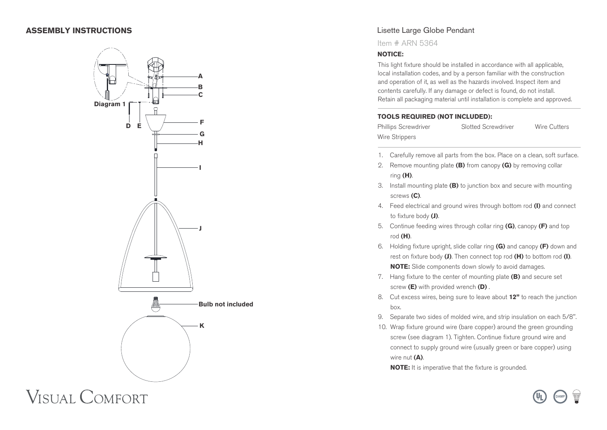## **ASSEMBLY INSTRUCTIONS**



### Lisette Large Globe Pendant

Item # ARN 5364

#### **NOTICE:**

This light fixture should be installed in accordance with all applicable, local installation codes, and by a person familiar with the construction and operation of it, as well as the hazards involved. Inspect item and contents carefully. If any damage or defect is found, do not install. Retain all packaging material until installation is complete and approved.

#### **TOOLS REQUIRED (NOT INCLUDED):**

Phillips Screwdriver Slotted Screwdriver Wire Cutters Wire Strippers

- 1. Carefully remove all parts from the box. Place on a clean, soft surface.
- 2. Remove mounting plate **(B)** from canopy **(G)** by removing collar ring **(H)**.
- 3. Install mounting plate **(B)** to junction box and secure with mounting screws **(C)**.
- 4. Feed electrical and ground wires through bottom rod **(I)** and connect to fixture body **(J)**.
- 5. Continue feeding wires through collar ring **(G)**, canopy **(F)** and top rod **(H)**.
- 6. Holding fixture upright, slide collar ring **(G)** and canopy **(F)** down and rest on fixture body **(J)**. Then connect top rod **(H)** to bottom rod **(I)**. **NOTE:** Slide components down slowly to avoid damages.
- 7. Hang fixture to the center of mounting plate **(B)** and secure set screw **(E)** with provided wrench **(D)** .
- 8. Cut excess wires, being sure to leave about **12"** to reach the junction box.
- 9. Separate two sides of molded wire, and strip insulation on each 5/8".
- 10. Wrap fixture ground wire (bare copper) around the green grounding screw (see diagram 1). Tighten. Continue fixture ground wire and connect to supply ground wire (usually green or bare copper) using wire nut **(A)**.

**DAMP**

**NOTE:** It is imperative that the fixture is grounded.